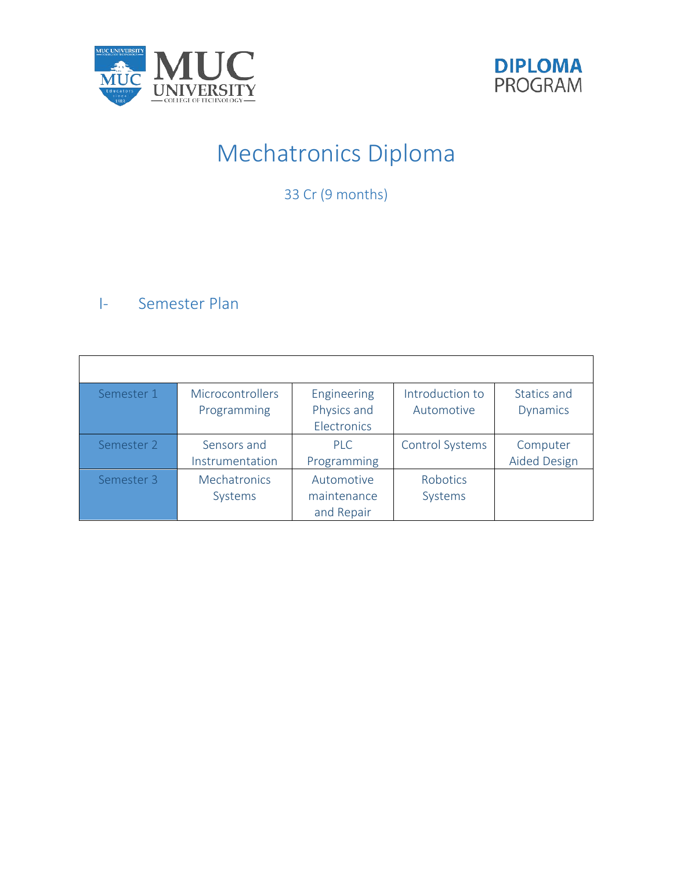



# Mechatronics Diploma

33 Cr (9 months)

# I- Semester Plan

| Semester 1 | <b>Microcontrollers</b><br>Programming | Engineering<br>Physics and<br>Electronics | Introduction to<br>Automotive | Statics and<br><b>Dynamics</b> |
|------------|----------------------------------------|-------------------------------------------|-------------------------------|--------------------------------|
|            |                                        |                                           |                               |                                |
| Semester 2 | Sensors and                            | PIC                                       | Control Systems               | Computer                       |
|            | Instrumentation                        | Programming                               |                               | <b>Aided Design</b>            |
| Semester 3 | <b>Mechatronics</b>                    | Automotive                                | Robotics                      |                                |
|            |                                        |                                           |                               |                                |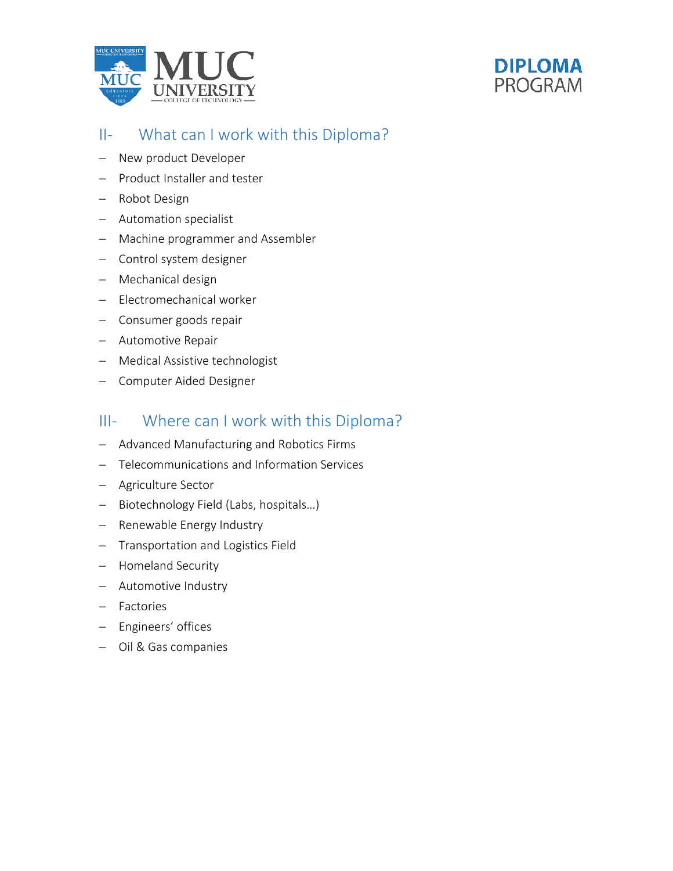



## II- What can I work with this Diploma?

- − New product Developer
- − Product Installer and tester
- − Robot Design
- − Automation specialist
- − Machine programmer and Assembler
- − Control system designer
- − Mechanical design
- − Electromechanical worker
- − Consumer goods repair
- − Automotive Repair
- − Medical Assistive technologist
- − Computer Aided Designer

## III- Where can I work with this Diploma?

- − Advanced Manufacturing and Robotics Firms
- − Telecommunications and Information Services
- − Agriculture Sector
- − Biotechnology Field (Labs, hospitals…)
- − Renewable Energy Industry
- − Transportation and Logistics Field
- − Homeland Security
- − Automotive Industry
- − Factories
- − Engineers' offices
- − Oil & Gas companies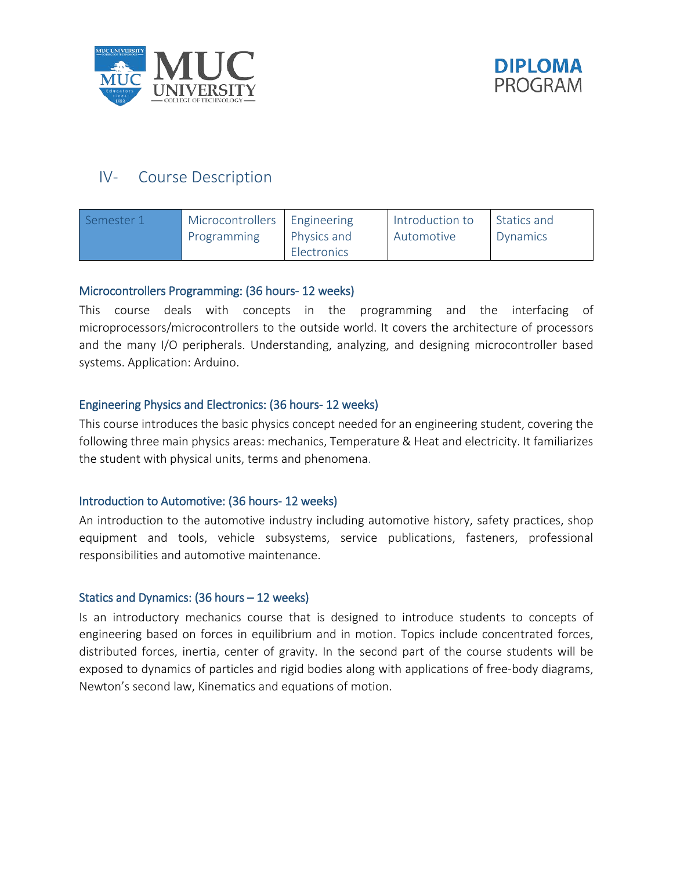



## IV- Course Description

| Semester 1 | Microcontrollers Engineering<br>Programming | Physics and | Introduction to<br>Automotive | Statics and<br>Dynamics |
|------------|---------------------------------------------|-------------|-------------------------------|-------------------------|
|            |                                             | Electronics |                               |                         |

#### Microcontrollers Programming: (36 hours- 12 weeks)

This course deals with concepts in the programming and the interfacing of microprocessors/microcontrollers to the outside world. It covers the architecture of processors and the many I/O peripherals. Understanding, analyzing, and designing microcontroller based systems. Application: Arduino.

#### Engineering Physics and Electronics: (36 hours- 12 weeks)

This course introduces the basic physics concept needed for an engineering student, covering the following three main physics areas: mechanics, Temperature & Heat and electricity. It familiarizes the student with physical units, terms and phenomena.

#### Introduction to Automotive: (36 hours- 12 weeks)

An introduction to the automotive industry including automotive history, safety practices, shop equipment and tools, vehicle subsystems, service publications, fasteners, professional responsibilities and automotive maintenance.

#### Statics and Dynamics: (36 hours – 12 weeks)

Is an introductory mechanics course that is designed to introduce students to concepts of engineering based on forces in equilibrium and in motion. Topics include concentrated forces, distributed forces, inertia, center of gravity. In the second part of the course students will be exposed to dynamics of particles and rigid bodies along with applications of free-body diagrams, Newton's second law, Kinematics and equations of motion.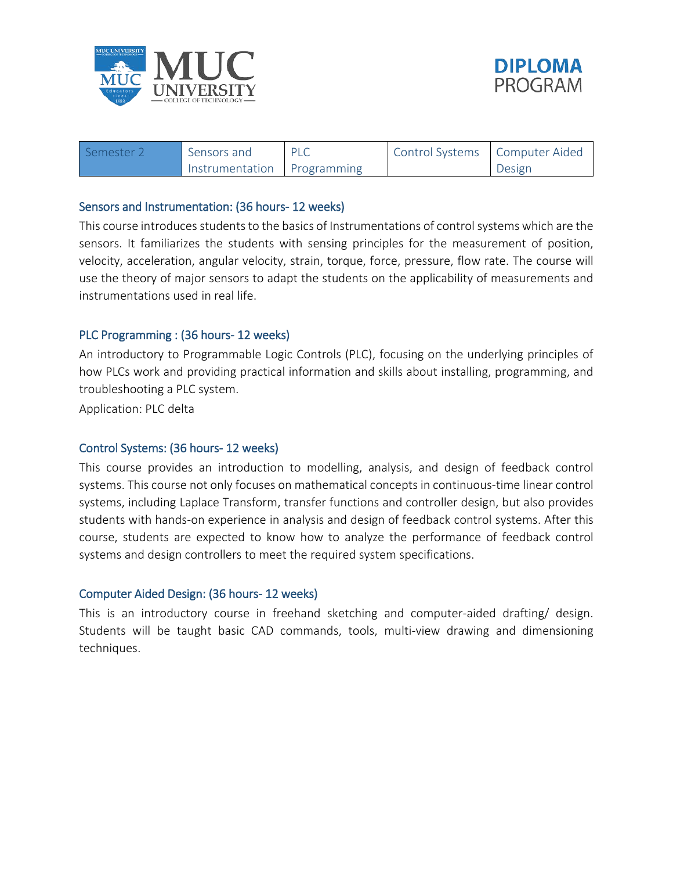



| Semester <sub>2</sub> | . Sensors and               | <b>PLC</b> | Control Systems   Computer Aided |        |
|-----------------------|-----------------------------|------------|----------------------------------|--------|
|                       | Instrumentation Programming |            |                                  | Design |

#### Sensors and Instrumentation: (36 hours- 12 weeks)

This course introduces students to the basics of Instrumentations of control systems which are the sensors. It familiarizes the students with sensing principles for the measurement of position, velocity, acceleration, angular velocity, strain, torque, force, pressure, flow rate. The course will use the theory of major sensors to adapt the students on the applicability of measurements and instrumentations used in real life.

#### PLC Programming : (36 hours- 12 weeks)

An introductory to Programmable Logic Controls (PLC), focusing on the underlying principles of how PLCs work and providing practical information and skills about installing, programming, and troubleshooting a PLC system.

Application: PLC delta

#### Control Systems: (36 hours- 12 weeks)

This course provides an introduction to modelling, analysis, and design of feedback control systems. This course not only focuses on mathematical concepts in continuous-time linear control systems, including Laplace Transform, transfer functions and controller design, but also provides students with hands-on experience in analysis and design of feedback control systems. After this course, students are expected to know how to analyze the performance of feedback control systems and design controllers to meet the required system specifications.

#### Computer Aided Design: (36 hours- 12 weeks)

This is an introductory course in freehand sketching and computer-aided drafting/ design. Students will be taught basic CAD commands, tools, multi-view drawing and dimensioning techniques.